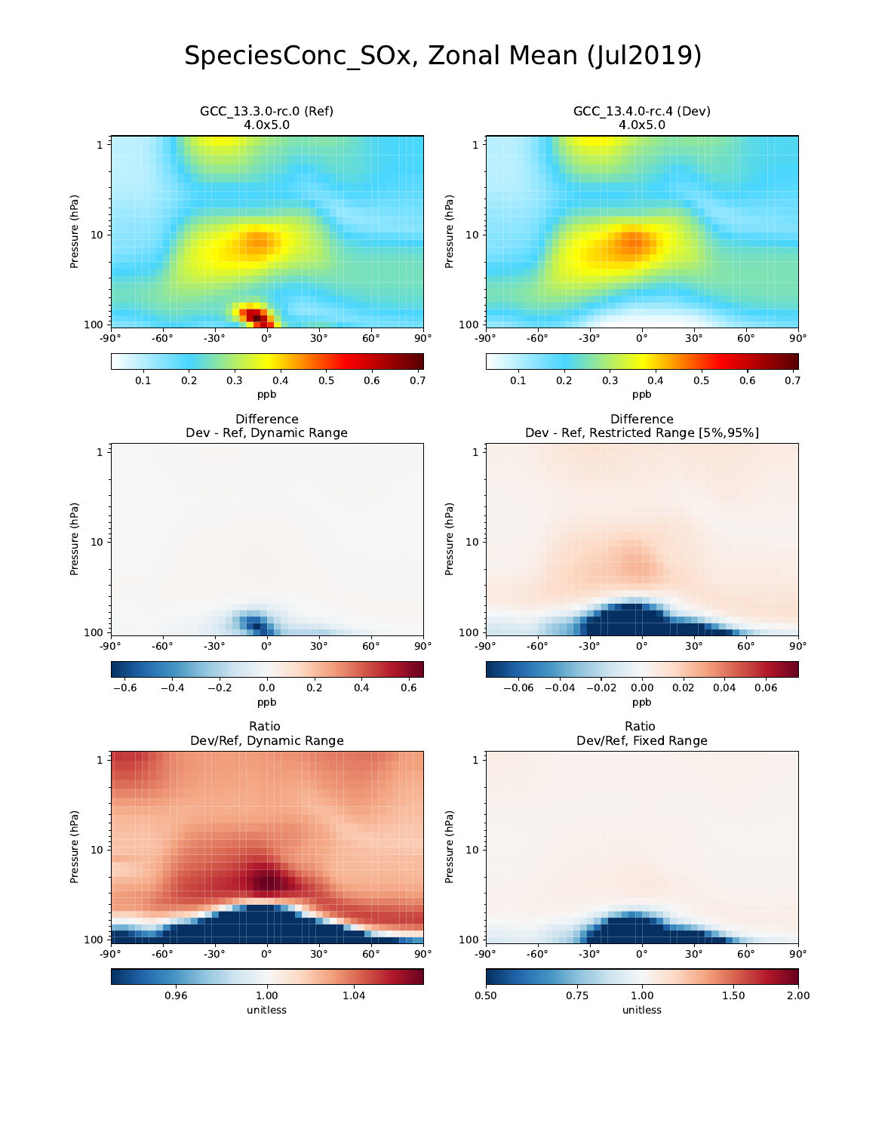## SpeciesConc\_SOx, Zonal Mean (Jul2019)

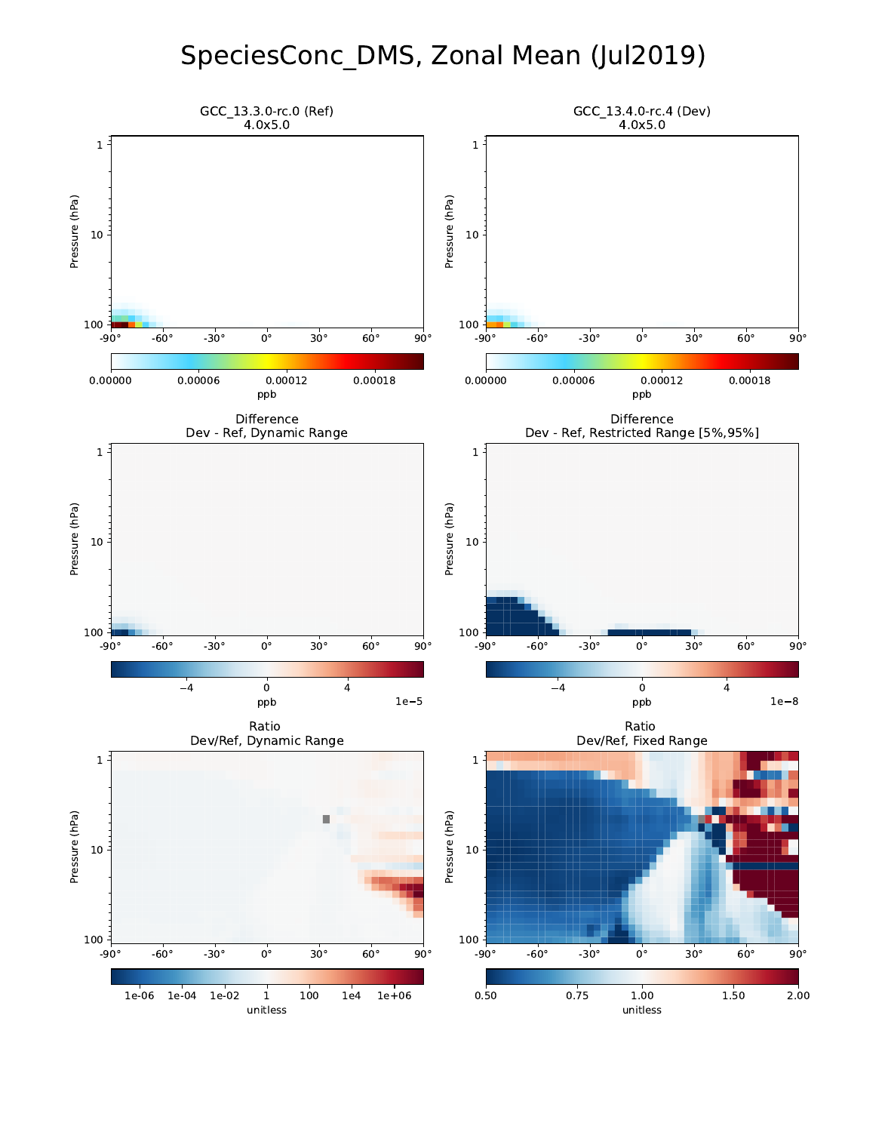### SpeciesConc\_DMS, Zonal Mean (Jul2019)

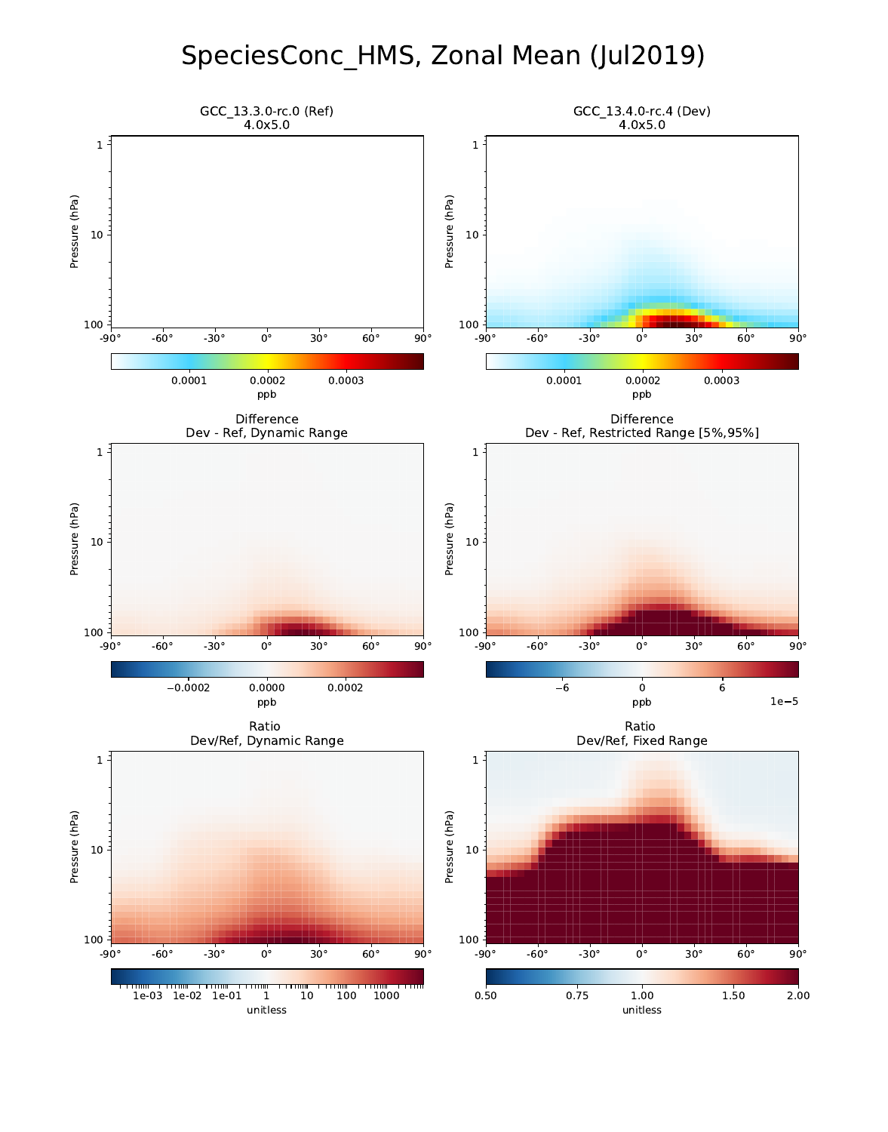### SpeciesConc\_HMS, Zonal Mean (Jul2019)

![](_page_2_Figure_1.jpeg)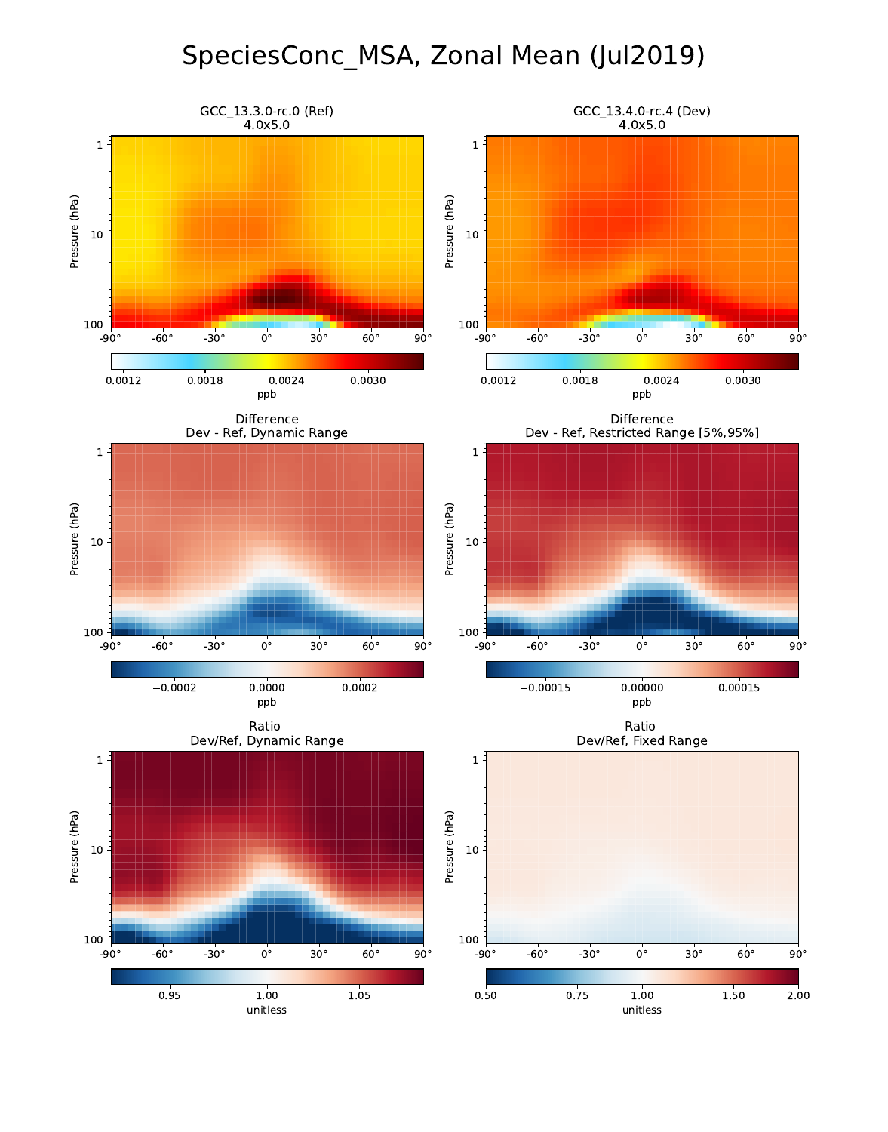### SpeciesConc\_MSA, Zonal Mean (Jul2019)

![](_page_3_Figure_1.jpeg)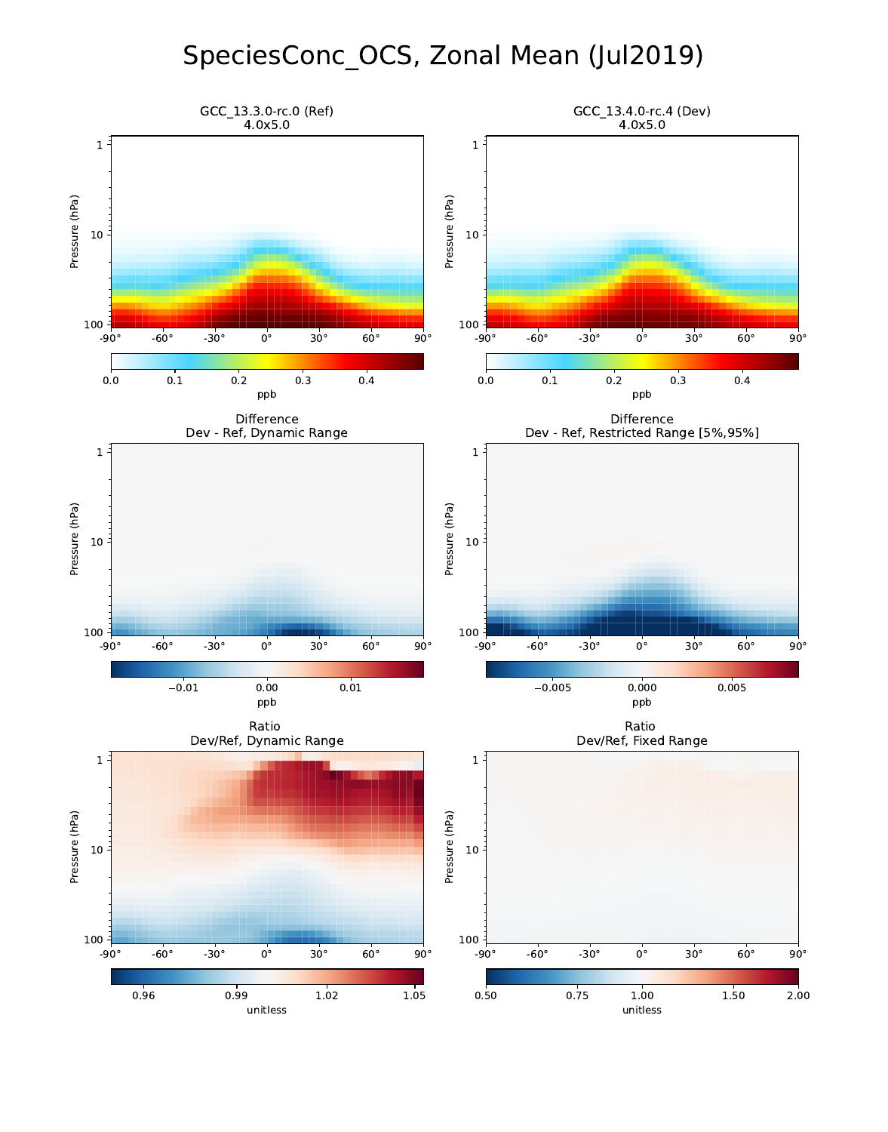# SpeciesConc\_OCS, Zonal Mean (Jul2019)

![](_page_4_Figure_1.jpeg)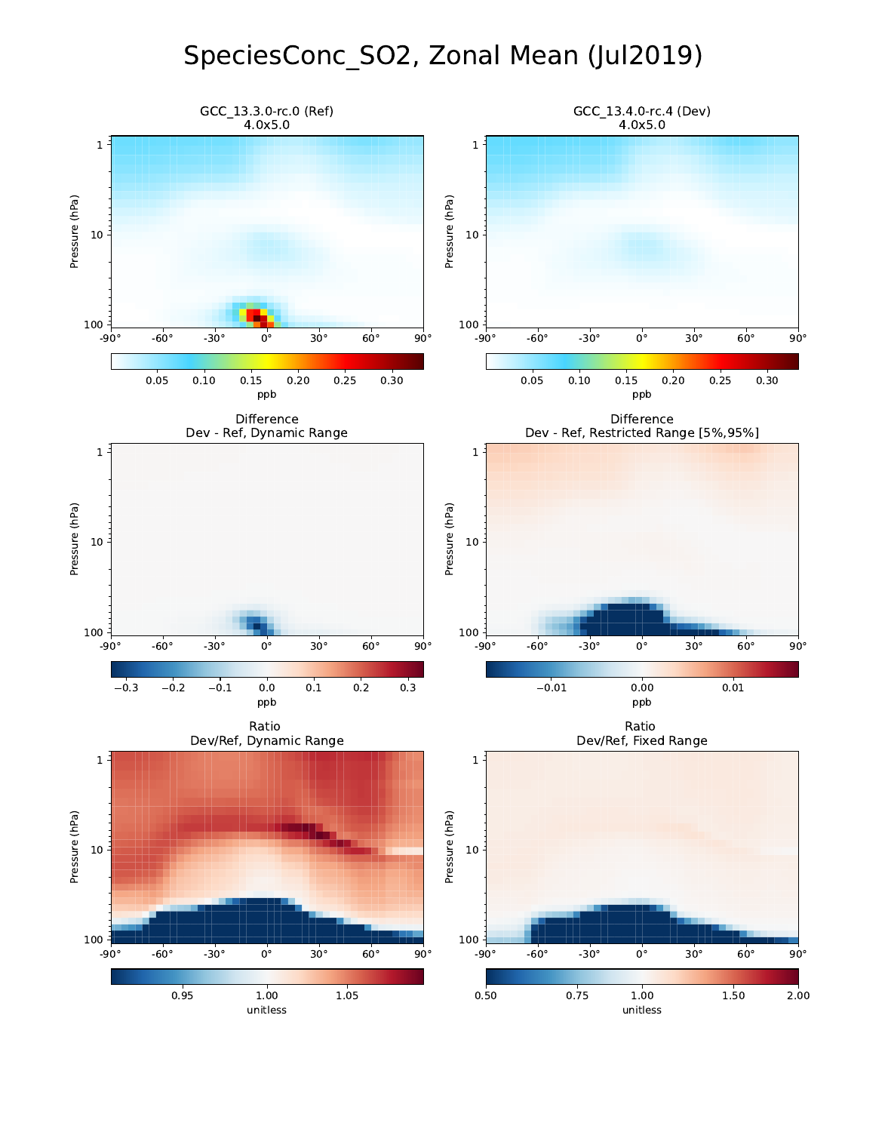## SpeciesConc\_SO2, Zonal Mean (Jul2019)

![](_page_5_Figure_1.jpeg)